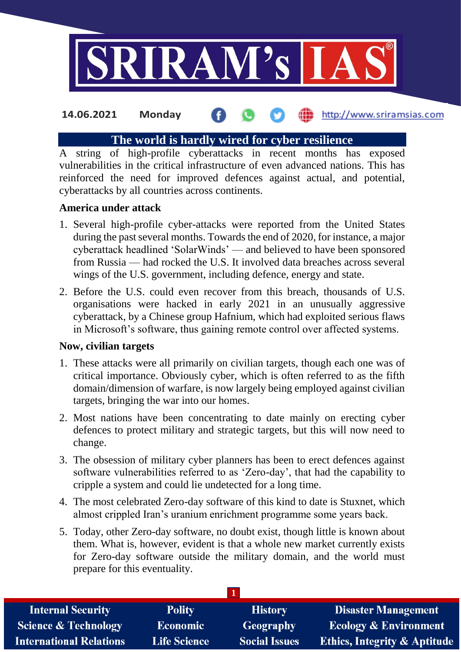

# **The world is hardly wired for cyber resilience**

A string of high-profile cyberattacks in recent months has exposed vulnerabilities in the critical infrastructure of even advanced nations. This has reinforced the need for improved defences against actual, and potential, cyberattacks by all countries across continents.

### **America under attack**

- 1. Several high-profile cyber-attacks were reported from the United States during the past several months. Towards the end of 2020, for instance, a major cyberattack headlined 'SolarWinds' — and believed to have been sponsored from Russia — had rocked the U.S. It involved data breaches across several wings of the U.S. government, including defence, energy and state.
- 2. Before the U.S. could even recover from this breach, thousands of U.S. organisations were hacked in early 2021 in an unusually aggressive cyberattack, by a Chinese group Hafnium, which had exploited serious flaws in Microsoft's software, thus gaining remote control over affected systems.

### **Now, civilian targets**

- 1. These attacks were all primarily on civilian targets, though each one was of critical importance. Obviously cyber, which is often referred to as the fifth domain/dimension of warfare, is now largely being employed against civilian targets, bringing the war into our homes.
- 2. Most nations have been concentrating to date mainly on erecting cyber defences to protect military and strategic targets, but this will now need to change.
- 3. The obsession of military cyber planners has been to erect defences against software vulnerabilities referred to as 'Zero-day', that had the capability to cripple a system and could lie undetected for a long time.
- 4. The most celebrated Zero-day software of this kind to date is Stuxnet, which almost crippled Iran's uranium enrichment programme some years back.
- 5. Today, other Zero-day software, no doubt exist, though little is known about them. What is, however, evident is that a whole new market currently exists for Zero-day software outside the military domain, and the world must prepare for this eventuality.

| <b>Internal Security</b>        | <b>Polity</b>       | <b>History</b>       | <b>Disaster Management</b>              |
|---------------------------------|---------------------|----------------------|-----------------------------------------|
| <b>Science &amp; Technology</b> | <b>Economic</b>     | Geography            | <b>Ecology &amp; Environment</b>        |
| <b>International Relations</b>  | <b>Life Science</b> | <b>Social Issues</b> | <b>Ethics, Integrity &amp; Aptitude</b> |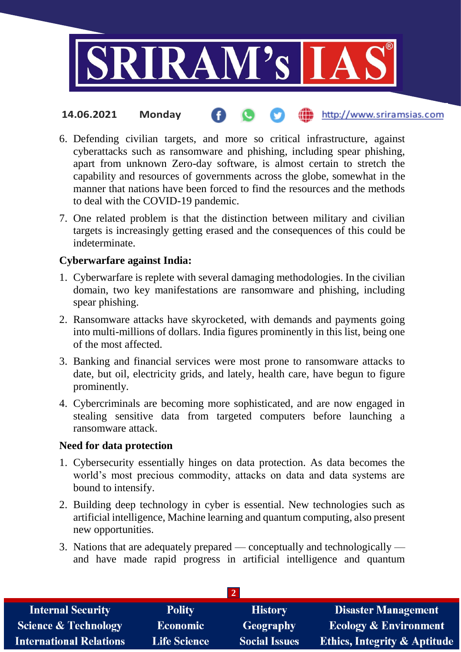

- 6. Defending civilian targets, and more so critical infrastructure, against cyberattacks such as ransomware and phishing, including spear phishing, apart from unknown Zero-day software, is almost certain to stretch the capability and resources of governments across the globe, somewhat in the manner that nations have been forced to find the resources and the methods to deal with the COVID-19 pandemic.
- 7. One related problem is that the distinction between military and civilian targets is increasingly getting erased and the consequences of this could be indeterminate.

### **Cyberwarfare against India:**

- 1. Cyberwarfare is replete with several damaging methodologies. In the civilian domain, two key manifestations are ransomware and phishing, including spear phishing.
- 2. Ransomware attacks have skyrocketed, with demands and payments going into multi-millions of dollars. India figures prominently in this list, being one of the most affected.
- 3. Banking and financial services were most prone to ransomware attacks to date, but oil, electricity grids, and lately, health care, have begun to figure prominently.
- 4. Cybercriminals are becoming more sophisticated, and are now engaged in stealing sensitive data from targeted computers before launching a ransomware attack.

### **Need for data protection**

- 1. Cybersecurity essentially hinges on data protection. As data becomes the world's most precious commodity, attacks on data and data systems are bound to intensify.
- 2. Building deep technology in cyber is essential. New technologies such as artificial intelligence, Machine learning and quantum computing, also present new opportunities.
- 3. Nations that are adequately prepared conceptually and technologically and have made rapid progress in artificial intelligence and quantum

| <b>Internal Security</b>        | <b>Polity</b>       | <b>History</b>       | <b>Disaster Management</b>              |  |
|---------------------------------|---------------------|----------------------|-----------------------------------------|--|
| <b>Science &amp; Technology</b> | <b>Economic</b>     | Geography            | <b>Ecology &amp; Environment</b>        |  |
| <b>International Relations</b>  | <b>Life Science</b> | <b>Social Issues</b> | <b>Ethics, Integrity &amp; Aptitude</b> |  |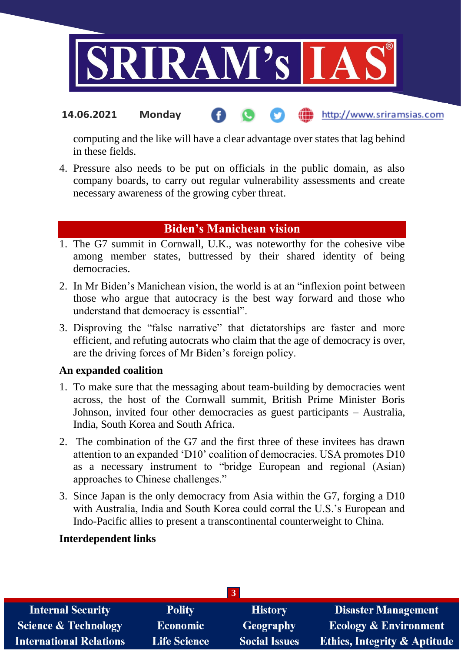

computing and the like will have a clear advantage over states that lag behind in these fields.

4. Pressure also needs to be put on officials in the public domain, as also company boards, to carry out regular vulnerability assessments and create necessary awareness of the growing cyber threat.

# **Biden's Manichean vision**

- 1. The G7 summit in Cornwall, U.K., was noteworthy for the cohesive vibe among member states, buttressed by their shared identity of being democracies.
- 2. In Mr Biden's Manichean vision, the world is at an "inflexion point between those who argue that autocracy is the best way forward and those who understand that democracy is essential".
- 3. Disproving the "false narrative" that dictatorships are faster and more efficient, and refuting autocrats who claim that the age of democracy is over, are the driving forces of Mr Biden's foreign policy.

### **An expanded coalition**

- 1. To make sure that the messaging about team-building by democracies went across, the host of the Cornwall summit, British Prime Minister Boris Johnson, invited four other democracies as guest participants – Australia, India, South Korea and South Africa.
- 2. The combination of the G7 and the first three of these invitees has drawn attention to an expanded 'D10' coalition of democracies. USA promotes D10 as a necessary instrument to "bridge European and regional (Asian) approaches to Chinese challenges."
- 3. Since Japan is the only democracy from Asia within the G7, forging a D10 with Australia, India and South Korea could corral the U.S.'s European and Indo-Pacific allies to present a transcontinental counterweight to China.

### **Interdependent links**

| $\overline{3}$                  |                     |                      |                                         |
|---------------------------------|---------------------|----------------------|-----------------------------------------|
| <b>Internal Security</b>        | <b>Polity</b>       | <b>History</b>       | <b>Disaster Management</b>              |
| <b>Science &amp; Technology</b> | <b>Economic</b>     | <b>Geography</b>     | <b>Ecology &amp; Environment</b>        |
| <b>International Relations</b>  | <b>Life Science</b> | <b>Social Issues</b> | <b>Ethics, Integrity &amp; Aptitude</b> |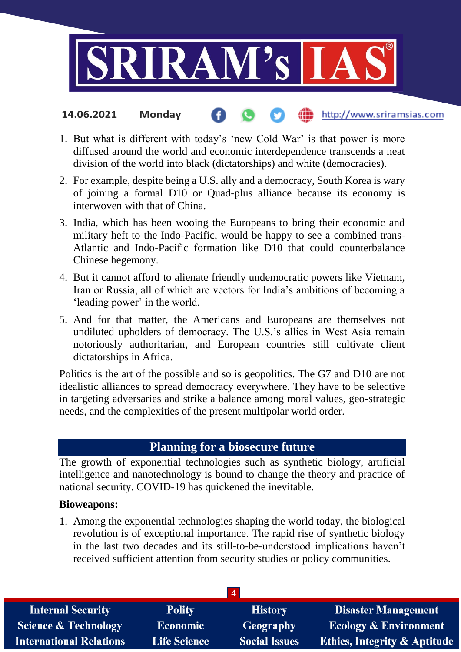

- 1. But what is different with today's 'new Cold War' is that power is more diffused around the world and economic interdependence transcends a neat division of the world into black (dictatorships) and white (democracies).
- 2. For example, despite being a U.S. ally and a democracy, South Korea is wary of joining a formal D10 or Quad-plus alliance because its economy is interwoven with that of China.
- 3. India, which has been wooing the Europeans to bring their economic and military heft to the Indo-Pacific, would be happy to see a combined trans-Atlantic and Indo-Pacific formation like D10 that could counterbalance Chinese hegemony.
- 4. But it cannot afford to alienate friendly undemocratic powers like Vietnam, Iran or Russia, all of which are vectors for India's ambitions of becoming a 'leading power' in the world.
- 5. And for that matter, the Americans and Europeans are themselves not undiluted upholders of democracy. The U.S.'s allies in West Asia remain notoriously authoritarian, and European countries still cultivate client dictatorships in Africa.

Politics is the art of the possible and so is geopolitics. The G7 and D10 are not idealistic alliances to spread democracy everywhere. They have to be selective in targeting adversaries and strike a balance among moral values, geo-strategic needs, and the complexities of the present multipolar world order.

# **Planning for a biosecure future**

The growth of exponential technologies such as synthetic biology, artificial intelligence and nanotechnology is bound to change the theory and practice of national security. COVID-19 has quickened the inevitable.

### **Bioweapons:**

1. Among the exponential technologies shaping the world today, the biological revolution is of exceptional importance. The rapid rise of synthetic biology in the last two decades and its still-to-be-understood implications haven't received sufficient attention from security studies or policy communities.

| <b>Internal Security</b>        | <b>Polity</b>       | <b>History</b>       | <b>Disaster Management</b>              |
|---------------------------------|---------------------|----------------------|-----------------------------------------|
| <b>Science &amp; Technology</b> | <b>Economic</b>     | <b>Geography</b>     | <b>Ecology &amp; Environment</b>        |
| <b>International Relations</b>  | <b>Life Science</b> | <b>Social Issues</b> | <b>Ethics, Integrity &amp; Aptitude</b> |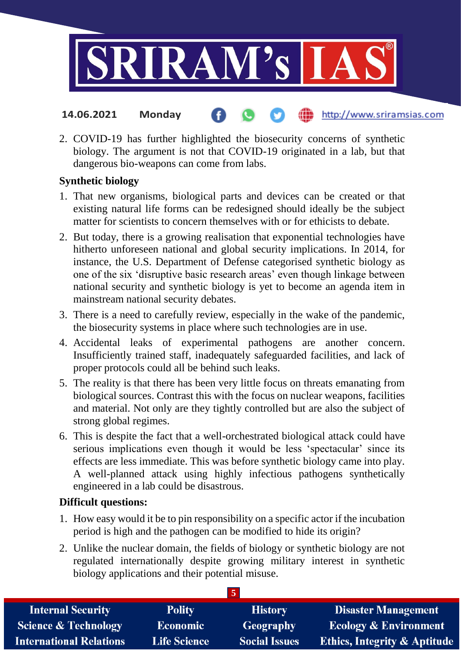

2. COVID-19 has further highlighted the biosecurity concerns of synthetic biology. The argument is not that COVID-19 originated in a lab, but that dangerous bio-weapons can come from labs.

# **Synthetic biology**

- 1. That new organisms, biological parts and devices can be created or that existing natural life forms can be redesigned should ideally be the subject matter for scientists to concern themselves with or for ethicists to debate.
- 2. But today, there is a growing realisation that exponential technologies have hitherto unforeseen national and global security implications. In 2014, for instance, the U.S. Department of Defense categorised synthetic biology as one of the six 'disruptive basic research areas' even though linkage between national security and synthetic biology is yet to become an agenda item in mainstream national security debates.
- 3. There is a need to carefully review, especially in the wake of the pandemic, the biosecurity systems in place where such technologies are in use.
- 4. Accidental leaks of experimental pathogens are another concern. Insufficiently trained staff, inadequately safeguarded facilities, and lack of proper protocols could all be behind such leaks.
- 5. The reality is that there has been very little focus on threats emanating from biological sources. Contrast this with the focus on nuclear weapons, facilities and material. Not only are they tightly controlled but are also the subject of strong global regimes.
- 6. This is despite the fact that a well-orchestrated biological attack could have serious implications even though it would be less 'spectacular' since its effects are less immediate. This was before synthetic biology came into play. A well-planned attack using highly infectious pathogens synthetically engineered in a lab could be disastrous.

# **Difficult questions:**

- 1. How easy would it be to pin responsibility on a specific actor if the incubation period is high and the pathogen can be modified to hide its origin?
- 2. Unlike the nuclear domain, the fields of biology or synthetic biology are not regulated internationally despite growing military interest in synthetic biology applications and their potential misuse.

| <b>Internal Security</b>        | <b>Polity</b>       | <b>History</b>       | <b>Disaster Management</b>              |
|---------------------------------|---------------------|----------------------|-----------------------------------------|
| <b>Science &amp; Technology</b> | <b>Economic</b>     | Geography            | <b>Ecology &amp; Environment</b>        |
| <b>International Relations</b>  | <b>Life Science</b> | <b>Social Issues</b> | <b>Ethics, Integrity &amp; Aptitude</b> |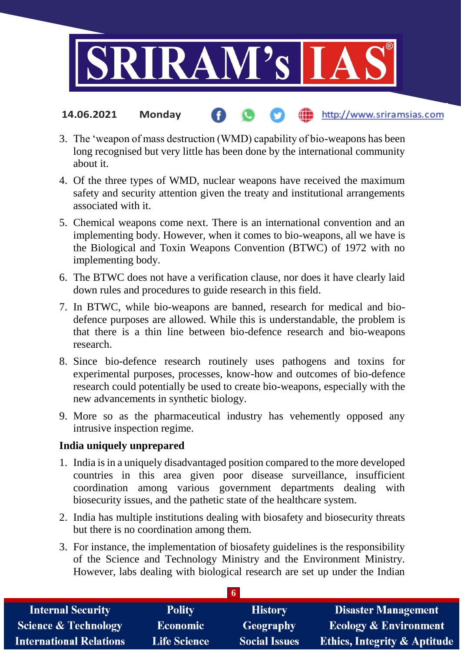

- 3. The 'weapon of mass destruction (WMD) capability of bio-weapons has been long recognised but very little has been done by the international community about it.
- 4. Of the three types of WMD, nuclear weapons have received the maximum safety and security attention given the treaty and institutional arrangements associated with it.
- 5. Chemical weapons come next. There is an international convention and an implementing body. However, when it comes to bio-weapons, all we have is the Biological and Toxin Weapons Convention (BTWC) of 1972 with no implementing body.
- 6. The BTWC does not have a verification clause, nor does it have clearly laid down rules and procedures to guide research in this field.
- 7. In BTWC, while bio-weapons are banned, research for medical and biodefence purposes are allowed. While this is understandable, the problem is that there is a thin line between bio-defence research and bio-weapons research.
- 8. Since bio-defence research routinely uses pathogens and toxins for experimental purposes, processes, know-how and outcomes of bio-defence research could potentially be used to create bio-weapons, especially with the new advancements in synthetic biology.
- 9. More so as the pharmaceutical industry has vehemently opposed any intrusive inspection regime.

### **India uniquely unprepared**

- 1. India is in a uniquely disadvantaged position compared to the more developed countries in this area given poor disease surveillance, insufficient coordination among various government departments dealing with biosecurity issues, and the pathetic state of the healthcare system.
- 2. India has multiple institutions dealing with biosafety and biosecurity threats but there is no coordination among them.
- 3. For instance, the implementation of biosafety guidelines is the responsibility of the Science and Technology Ministry and the Environment Ministry. However, labs dealing with biological research are set up under the Indian

| <b>Internal Security</b>        | <b>Polity</b>       | <b>History</b>       | <b>Disaster Management</b>              |  |
|---------------------------------|---------------------|----------------------|-----------------------------------------|--|
| <b>Science &amp; Technology</b> | <b>Economic</b>     | Geography            | <b>Ecology &amp; Environment</b>        |  |
| <b>International Relations</b>  | <b>Life Science</b> | <b>Social Issues</b> | <b>Ethics, Integrity &amp; Aptitude</b> |  |